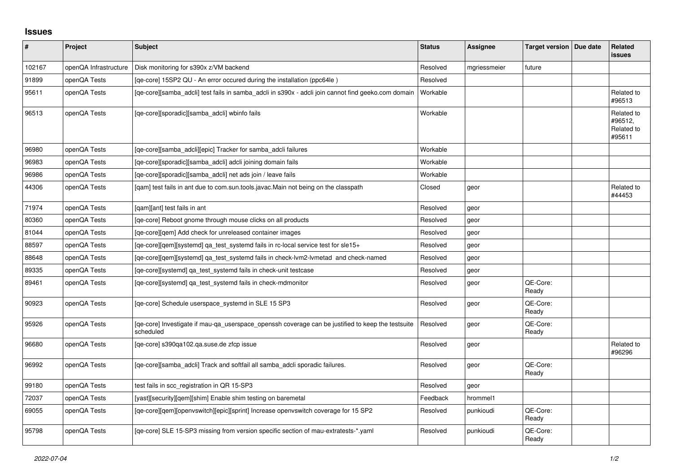## **Issues**

| $\pmb{\#}$ | Project               | Subject                                                                                                        | <b>Status</b> | Assignee     | Target version   Due date | Related<br><b>issues</b>                      |
|------------|-----------------------|----------------------------------------------------------------------------------------------------------------|---------------|--------------|---------------------------|-----------------------------------------------|
| 102167     | openQA Infrastructure | Disk monitoring for s390x z/VM backend                                                                         | Resolved      | mgriessmeier | future                    |                                               |
| 91899      | openQA Tests          | [qe-core] 15SP2 QU - An error occured during the installation (ppc64le)                                        | Resolved      |              |                           |                                               |
| 95611      | openQA Tests          | [qe-core][samba_adcli] test fails in samba_adcli in s390x - adcli join cannot find geeko.com domain            | Workable      |              |                           | Related to<br>#96513                          |
| 96513      | openQA Tests          | [qe-core][sporadic][samba_adcli] wbinfo fails                                                                  | Workable      |              |                           | Related to<br>#96512,<br>Related to<br>#95611 |
| 96980      | openQA Tests          | [qe-core][samba_adcli][epic] Tracker for samba_adcli failures                                                  | Workable      |              |                           |                                               |
| 96983      | openQA Tests          | [qe-core][sporadic][samba_adcli] adcli joining domain fails                                                    | Workable      |              |                           |                                               |
| 96986      | openQA Tests          | [qe-core][sporadic][samba_adcli] net ads join / leave fails                                                    | Workable      |              |                           |                                               |
| 44306      | openQA Tests          | [gam] test fails in ant due to com.sun.tools.javac.Main not being on the classpath                             | Closed        | geor         |                           | Related to<br>#44453                          |
| 71974      | openQA Tests          | [qam][ant] test fails in ant                                                                                   | Resolved      | geor         |                           |                                               |
| 80360      | openQA Tests          | [ge-core] Reboot gnome through mouse clicks on all products                                                    | Resolved      | geor         |                           |                                               |
| 81044      | openQA Tests          | [ge-core][gem] Add check for unreleased container images                                                       | Resolved      | geor         |                           |                                               |
| 88597      | openQA Tests          | [ge-core][gem][systemd] ga test systemd fails in rc-local service test for sle15+                              | Resolved      | geor         |                           |                                               |
| 88648      | openQA Tests          | [qe-core][qem][systemd] qa_test_systemd fails in check-lvm2-lvmetad and check-named                            | Resolved      | geor         |                           |                                               |
| 89335      | openQA Tests          | [qe-core][systemd] qa_test_systemd fails in check-unit testcase                                                | Resolved      | geor         |                           |                                               |
| 89461      | openQA Tests          | [ge-core][systemd] ga_test_systemd fails in check-mdmonitor                                                    | Resolved      | geor         | QE-Core:<br>Ready         |                                               |
| 90923      | openQA Tests          | [qe-core] Schedule userspace_systemd in SLE 15 SP3                                                             | Resolved      | geor         | QE-Core:<br>Ready         |                                               |
| 95926      | openQA Tests          | [ge-core] Investigate if mau-ga userspace openssh coverage can be justified to keep the testsuite<br>scheduled | Resolved      | geor         | QE-Core:<br>Ready         |                                               |
| 96680      | openQA Tests          | [ge-core] s390ga102.ga.suse.de zfcp issue                                                                      | Resolved      | geor         |                           | Related to<br>#96296                          |
| 96992      | openQA Tests          | [qe-core][samba_adcli] Track and softfail all samba_adcli sporadic failures.                                   | Resolved      | geor         | QE-Core:<br>Ready         |                                               |
| 99180      | openQA Tests          | test fails in scc registration in QR 15-SP3                                                                    | Resolved      | geor         |                           |                                               |
| 72037      | openQA Tests          | [yast][security][qem][shim] Enable shim testing on baremetal                                                   | Feedback      | hrommel1     |                           |                                               |
| 69055      | openQA Tests          | [qe-core][qem][openvswitch][epic][sprint] Increase openvswitch coverage for 15 SP2                             | Resolved      | punkioudi    | QE-Core:<br>Ready         |                                               |
| 95798      | openQA Tests          | [qe-core] SLE 15-SP3 missing from version specific section of mau-extratests-*.yaml                            | Resolved      | punkioudi    | QE-Core:<br>Ready         |                                               |